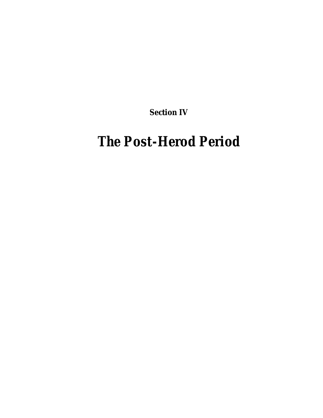**Section IV**

# *The Post-Herod Period*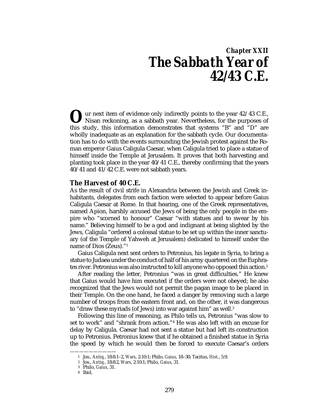## *Chapter XXII The Sabbath Year of 42/43 C.E.*

ur next item of evidence only indirectly points to the year 42/43 C.E., Nisan reckoning, as a sabbath year. Nevertheless, for the purposes of U w next item of evidence only indirectly points to the year 42/43 C.E., Nisan reckoning, as a sabbath year. Nevertheless, for the purposes of this study, this information demonstrates that systems "B" and "D" are wholly inadequate as an explanation for the sabbath cycle. Our documentation has to do with the events surrounding the Jewish protest against the Roman emperor Gaius Caligula Caesar, when Caligula tried to place a statue of himself inside the Temple at Jerusalem. It proves that both harvesting and planting took place in the year 40/41 C.E., thereby confirming that the years 40/41 and 41/42 C.E. were not sabbath years.

#### **The Harvest of 40 C.E.**

As the result of civil strife in Alexandria between the Jewish and Greek inhabitants, delegates from each faction were selected to appear before Gaius Caligula Caesar at Rome. In that hearing, one of the Greek representatives, named Apion, harshly accused the Jews of being the only people in the empire who "scorned to honour" Caesar "with statues and to swear by his name." Believing himself to be a god and indignant at being slighted by the Jews, Caligula "ordered a colossal statue to be set up within the inner sanctuary (of the Temple of Yahweh at Jerusalem) dedicated to himself under the name of Dios (Zeus)."1

Gaius Caligula next sent orders to Petronius, his legate in Syria, to bring a statue to Judaea under the conduct of half of his army quartered on the Euphrates river. Petronius was also instructed to kill anyone who opposed this action.2

After reading the letter, Petronius "was in great difficulties." He knew that Gaius would have him executed if the orders were not obeyed; he also recognized that the Jews would not permit the pagan image to be placed in their Temple. On the one hand, he faced a danger by removing such a large number of troops from the eastern front and, on the other, it was dangerous to "draw these myriads (of Jews) into war against him" as well.3

Following this line of reasoning, as Philo tells us, Petronius "was slow to set to work" and "shrank from action."4 He was also left with an excuse for delay by Caligula. Caesar had not sent a statue but had left its construction up to Petronius. Petronius knew that if he obtained a finished statue in Syria the speed by which he would then be forced to execute Caesar's orders

<sup>1</sup> Jos., *Antiq.*, 18:8:1–2, *Wars*, 2:10:1; Philo, *Gaius*, 18–30; Tacitus, *Hist.*, 5:9.

<sup>2</sup> Jos., *Antiq.*, 18:8:2, *Wars*, 2:10:1; Philo, *Gaius*, 31.

<sup>3</sup> Philo, *Gaius*, 31.

<sup>4</sup> Ibid.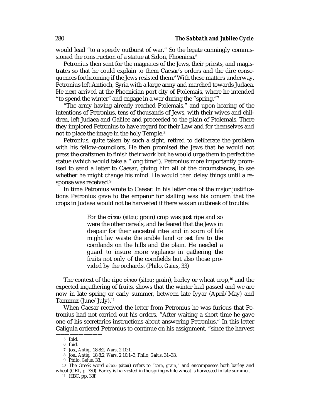would lead "to a speedy outburst of war." So the legate cunningly commissioned the construction of a statue at Sidon. Phoenicia.<sup>5</sup>

Petronius then sent for the magnates of the Jews, their priests, and magistrates so that he could explain to them Caesar's orders and the dire consequences forthcoming if the Jews resisted them.<sup>6</sup> With these matters underway, Petronius left Antioch, Syria with a large army and marched towards Judaea. He next arrived at the Phoenician port city of Ptolemais, where he intended "to spend the winter" and engage in a war during the "spring."7

"The army having already reached Ptolemais," and upon hearing of the intentions of Petronius, tens of thousands of Jews, with their wives and children, left Judaea and Galilee and proceeded to the plain of Ptolemais. There they implored Petronius to have regard for their Law and for themselves and not to place the image in the holy Temple.<sup>8</sup>

Petronius, quite taken by such a sight, retired to deliberate the problem with his fellow-councilors. He then promised the Jews that he would not press the craftsmen to finish their work but he would urge them to perfect the statue (which would take a "long time"). Petronius more importantly promised to send a letter to Caesar, giving him all of the circumstances, to see whether he might change his mind. He would then delay things until a response was received.<sup>9</sup>

In time Petronius wrote to Caesar. In his letter one of the major justifications Petronius gave to the emperor for stalling was his concern that the crops in Judaea would not be harvested if there was an outbreak of trouble:

> For the στου (*sitou*; grain) crop was just ripe and so were the other cereals, and he feared that the Jews in despair for their ancestral rites and in scorn of life might lay waste the arable land or set fire to the cornlands on the hills and the plain. He needed a guard to insure more vigilance in gathering the fruits not only of the cornfields but also those provided by the orchards. (Philo, *Gaius*, 33)

The context of the ripe σίτου *(sitou*; grain), barley or wheat crop,<sup>10</sup> and the expected ingathering of fruits, shows that the winter had passed and we are now in late spring or early summer, between late Iyyar (April/May) and Tammuz (June/July).11

When Caesar received the letter from Petronius he was furious that Petronius had not carried out his orders. "After waiting a short time he gave one of his secretaries instructions about answering Petronius." In this letter Caligula ordered Petronius to continue on his assignment, "since the harvest

<sup>5</sup> Ibid.

<sup>6</sup> Ibid.

<sup>7</sup> Jos., *Antiq.*, 18:8:2, *Wars*, 2:10:1.

<sup>8</sup> Jos., *Antiq.*, 18:8:2, *Wars*, 2:10:1–3; Philo, *Gaius*, 31–33.

<sup>9</sup> Philo, *Gaius*, 33.

<sup>10</sup> The Greek word στου (*sitou*) refers to "*corn, grain*," and encompasses both barley and wheat (GEL, p. 730). Barley is harvested in the spring while wheat is harvested in late summer.

<sup>11</sup> HBC, pp. 33f.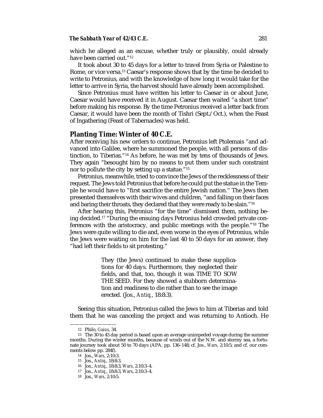#### *The Sabbath Year of 42/43 C.E.* 281

which he alleged as an excuse, whether truly or plausibly, could already have been carried out."12

It took about 30 to 45 days for a letter to travel from Syria or Palestine to Rome, or vice versa.<sup>13</sup> Caesar's response shows that by the time he decided to write to Petronius, and with the knowledge of how long it would take for the letter to arrive in Syria, the harvest should have already been accomplished.

Since Petronius must have written his letter to Caesar in or about June, Caesar would have received it in August. Caesar then waited "a short time" before making his response. By the time Petronius received a letter back from Caesar, it would have been the month of Tishri (Sept./Oct.), when the Feast of Ingathering (Feast of Tabernacles) was held.

#### **Planting Time: Winter of 40 C.E.**

After receiving his new orders to continue, Petronius left Ptolemais "and advanced into Galilee, where he summoned the people, with all persons of distinction, to Tiberias."14 As before, he was met by tens of thousands of Jews. They again "besought him by no means to put them under such constraint nor to pollute the city by setting up a statue."15

Petronius, meanwhile, tried to convince the Jews of the recklessness of their request. The Jews told Petronius that before he could put the statue in the Temple he would have to "first sacrifice the entire Jewish nation." The Jews then presented themselves with their wives and children, "and falling on their faces and baring their throats, they declared that they were ready to be slain."16

After hearing this, Petronius "for the time" dismissed them, nothing being decided.17 "During the ensuing days Petronius held crowded private conferences with the aristocracy, and public meetings with the people."18 The Jews were quite willing to die and, even worse in the eyes of Petronius, while the Jews were waiting on him for the last 40 to 50 days for an answer, they "had left their fields to sit protesting."

> They (the Jews) continued to make these supplications for 40 days. Furthermore, they neglected their fields, and that, too, though it was TIME TO SOW THE SEED. For they showed a stubborn determination and readiness to die rather than to see the image erected. (Jos., *Antiq.*, 18:8:3).

Seeing this situation, Petronius called the Jews to him at Tiberias and told them that he was canceling the project and was returning to Antioch. He

<sup>——————————</sup> 12 Philo, *Gaius*, 34.

<sup>13</sup> The 30 to 45 day period is based upon an average unimpeded voyage during the summer months. During the winter months, because of winds out of the N.W. and stormy sea, a fortunate journey took about 50 to 70 days (APA, pp. 136–148; cf. Jos., *Wars*, 2:10:5; and cf. our comments below pp. 284f).

<sup>14</sup> Jos., *Wars*, 2:10:3.

<sup>15</sup> Jos., *Antiq.*, 18:8:3.

<sup>16</sup> Jos., *Antiq.*, 18:8:3, *Wars*, 2:10:3–4.

<sup>17</sup> Jos., *Antiq.*, 18:8:3, *Wars*, 2:10:3–4.

<sup>18</sup> Jos., *Wars*, 2:10:5.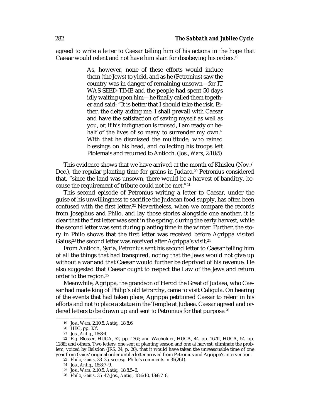agreed to write a letter to Caesar telling him of his actions in the hope that Caesar would relent and not have him slain for disobeying his orders.19

> As, however, none of these efforts would induce them (the Jews) to yield, and as he (Petronius) saw the country was in danger of remaining unsown—for IT WAS SEED-TIME and the people had spent 50 days idly waiting upon him—he finally called them together and said: "It is better that I should take the risk. Either, the deity aiding me, I shall prevail with Caesar and have the satisfaction of saving myself as well as you, or, if his indignation is roused, I am ready on behalf of the lives of so many to surrender my own." With that he dismissed the multitude, who rained blessings on his head, and collecting his troops left Ptolemais and returned to Antioch. (Jos., *Wars*, 2:10:5)

This evidence shows that we have arrived at the month of Khisleu (Nov./ Dec.), the regular planting time for grains in Judaea.20 Petronius considered that, "since the land was unsown, there would be a harvest of banditry, because the requirement of tribute could not be met."21

This second episode of Petronius writing a letter to Caesar, under the guise of his unwillingness to sacrifice the Judaean food supply, has often been confused with the first letter.<sup>22</sup> Nevertheless, when we compare the records from Josephus and Philo, and lay those stories alongside one another, it is clear that the first letter was sent in the spring, during the early harvest, while the second letter was sent during planting time in the winter. Further, the story in Philo shows that the first letter was received before Agrippa visited Gaius;<sup>23</sup> the second letter was received after Agrippa's visit.<sup>24</sup>

From Antioch, Syria, Petronius sent his second letter to Caesar telling him of all the things that had transpired, noting that the Jews would not give up without a war and that Caesar would further be deprived of his revenue. He also suggested that Caesar ought to respect the Law of the Jews and return order to the region.25

Meanwhile, Agrippa, the grandson of Herod the Great of Judaea, who Caesar had made king of Philip's old tetrarchy, came to visit Caligula. On hearing of the events that had taken place, Agrippa petitioned Caesar to relent in his efforts and not to place a statue in the Temple at Judaea. Caesar agreed and ordered letters to be drawn up and sent to Petronius for that purpose.<sup>26</sup>

<sup>19</sup> Jos., *Wars*, 2:10:5, *Antiq.*, 18:8:6.

<sup>20</sup> HBC, pp. 33f.

<sup>21</sup> Jos., *Antiq.*, 18:8:4.

<sup>22</sup> E.g. Blosser, HUCA, 52, pp. 136f; and Wacholder, HUCA, 44, pp. 167ff, HUCA, 54, pp. 128ff; and others. Two letters, one sent at planting season and one at harvest, eliminate the problem, voiced by Balsdon (JRS, 24, p. 20), that it would have taken the unreasonable time of one year from Gaius' original order until a letter arrived from Petronius and Agrippa's intervention.

<sup>23</sup> Philo, *Gaius*, 33–35, see esp. Philo's comments in 35(261).

<sup>24</sup> Jos., *Antiq.*, 18:8:7–9.

<sup>25</sup> Jos., *Wars*, 2:10:5, *Antiq.*, 18:8:5–6.

<sup>26</sup> Philo, *Gaius*, 35–47; Jos., *Antiq.*, 18:6:10, 18:8:7–8.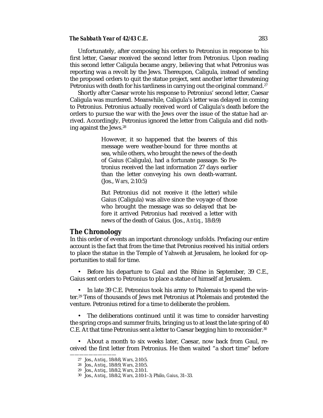#### *The Sabbath Year of 42/43 C.E.* 283

Unfortunately, after composing his orders to Petronius in response to his first letter, Caesar received the second letter from Petronius. Upon reading this second letter Caligula became angry, believing that what Petronius was reporting was a revolt by the Jews. Thereupon, Caligula, instead of sending the proposed orders to quit the statue project, sent another letter threatening Petronius with death for his tardiness in carrying out the original command.<sup>27</sup>

Shortly after Caesar wrote his response to Petronius' second letter, Caesar Caligula was murdered. Meanwhile, Caligula's letter was delayed in coming to Petronius. Petronius actually received word of Caligula's death before the orders to pursue the war with the Jews over the issue of the statue had arrived. Accordingly, Petronius ignored the letter from Caligula and did nothing against the Jews.<sup>28</sup>

> However, it so happened that the bearers of this message were weather-bound for three months at sea, while others, who brought the news of the death of Gaius (Caligula), had a fortunate passage. So Petronius received the last information 27 days earlier than the letter conveying his own death-warrant. (Jos., *Wars*, 2:10:5)

> But Petronius did not receive it (the letter) while Gaius (Caligula) was alive since the voyage of those who brought the message was so delayed that before it arrived Petronius had received a letter with news of the death of Gaius. (Jos., *Antiq.*, 18:8:9)

#### **The Chronology**

In this order of events an important chronology unfolds. Prefacing our entire account is the fact that from the time that Petronius received his initial orders to place the statue in the Temple of Yahweh at Jerusalem, he looked for opportunities to stall for time.

• Before his departure to Gaul and the Rhine in September, 39 C.E., Gaius sent orders to Petronius to place a statue of himself at Jerusalem.

• In late 39 C.E. Petronius took his army to Ptolemais to spend the winter.29 Tens of thousands of Jews met Petronius at Ptolemais and protested the venture. Petronius retired for a time to deliberate the problem.

• The deliberations continued until it was time to consider harvesting the spring crops and summer fruits, bringing us to at least the late spring of 40 C.E. At that time Petronius sent a letter to Caesar begging him to reconsider.<sup>30</sup>

• About a month to six weeks later, Caesar, now back from Gaul, received the first letter from Petronius. He then waited "a short time" before

<sup>27</sup> Jos., *Antiq.*, 18:8:8, *Wars*, 2:10:5.

<sup>28</sup> Jos., *Antiq.*, 18:8:9, *Wars*, 2:10:5.

<sup>29</sup> Jos., *Antiq.*, 18:8:2, *Wars*, 2:10:1.

<sup>30</sup> Jos., *Antiq.*, 18:8:2, *Wars*, 2:10:1–3; Philo, *Gaius*, 31–33.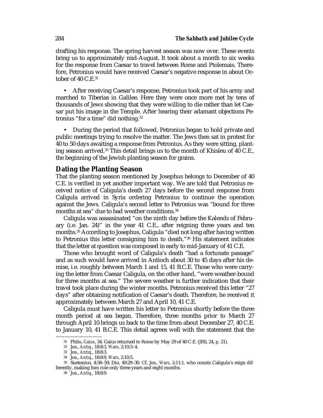drafting his response. The spring harvest season was now over. These events bring us to approximately mid-August. It took about a month to six weeks for the response from Caesar to travel between Rome and Ptolemais. Therefore, Petronius would have received Caesar's negative response in about October of  $40 \text{ C}$ .E. $31$ 

• After receiving Caesar's response, Petronius took part of his army and marched to Tiberias in Galilee. Here they were once more met by tens of thousands of Jews showing that they were willing to die rather than let Caesar put his image in the Temple. After hearing their adamant objections Petronius "for a time" did nothing.32

• During the period that followed, Petronius began to hold private and public meetings trying to resolve the matter. The Jews then sat in protest for 40 to 50 days awaiting a response from Petronius. As they were sitting, planting season arrived.33 This detail brings us to the month of Khisleu of 40 C.E., the beginning of the Jewish planting season for grains.

#### **Dating the Planting Season**

That the planting season mentioned by Josephus belongs to December of 40 C.E. is verified in yet another important way. We are told that Petronius received notice of Caligula's death 27 days before the second response from Caligula arrived in Syria ordering Petronius to continue the operation against the Jews. Caligula's second letter to Petronius was "bound for three months at sea" due to bad weather conditions.<sup>34</sup>

Caligula was assassinated "on the ninth day before the Kalends of February (i.e. Jan. 24)" in the year 41 C.E., after reigning three years and ten months.35 According to Josephus, Caligula "died not long after having written to Petronius this letter consigning him to death."36 His statement indicates that the letter at question was composed in early to mid-January of 41 C.E.

Those who brought word of Caligula's death "had a fortunate passage" and as such would have arrived in Antioch about 30 to 45 days after his demise, i.e. roughly between March 1 and 15, 41 B.C.E. Those who were carrying the letter from Caesar Caligula, on the other hand, "were weather-bound for three months at sea." The severe weather is further indication that their travel took place during the winter months. Petronius received this letter "27 days" after obtaining notification of Caesar's death. Therefore, he received it approximately between March 27 and April 10, 41 C.E.

Caligula must have written his letter to Petronius shortly before the three month period at sea began. Therefore, three months prior to March 27 through April 10 brings us back to the time from about December 27, 40 C.E. to January 10, 41 B.C.E. This detail agrees well with the statement that the

<sup>——————————</sup> 31 Philo, *Gaius*, 34. Gaius returned to Rome by May 29 of 40 C.E. (JRS, 24, p. 21).

<sup>32</sup> Jos., *Antiq.*, 18:8:3, *Wars*, 2:10:3–4.

<sup>33</sup> Jos., *Antiq.*, 18:8:3.

<sup>34</sup> Jos., *Antiq.*, 18:8:9, *Wars*, 2:10:5.

<sup>35</sup> Suetonius, 4:58–59; Dio, 49:29–30. Cf. Jos., *Wars*, 2:11:1, who counts Caligula's reign differently, making him rule only three years and eight months.

<sup>36</sup> Jos., *Antiq.*, 18:8:9.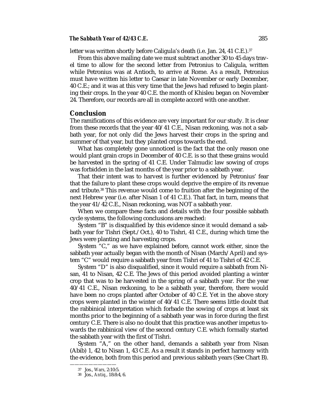#### *The Sabbath Year of 42/43 C.E.* 285

letter was written shortly before Caligula's death (i.e. Jan. 24, 41 C.E.).<sup>37</sup>

From this above mailing date we must subtract another 30 to 45 days travel time to allow for the second letter from Petronius to Caligula, written while Petronius was at Antioch, to arrive at Rome. As a result, Petronius must have written his letter to Caesar in late November or early December, 40 C.E.; and it was at this very time that the Jews had refused to begin planting their crops. In the year 40 C.E. the month of Khisleu began on November 24. Therefore, our records are all in complete accord with one another.

#### **Conclusion**

The ramifications of this evidence are very important for our study. It is clear from these records that the year 40/41 C.E., Nisan reckoning, was not a sabbath year, for not only did the Jews harvest their crops in the spring and summer of that year, but they planted crops towards the end.

What has completely gone unnoticed is the fact that the only reason one would plant grain crops in December of 40 C.E. is so that these grains would be harvested in the spring of 41 C.E. Under Talmudic law sowing of crops was forbidden in the last months of the year prior to a sabbath year.

That their intent was to harvest is further evidenced by Petronius' fear that the failure to plant these crops would deprive the empire of its revenue and tribute.<sup>38</sup> This revenue would come to fruition after the beginning of the next Hebrew year (i.e. after Nisan 1 of 41 C.E.). That fact, in turn, means that the year 41/42 C.E., Nisan reckoning, was NOT a sabbath year.

When we compare these facts and details with the four possible sabbath cycle systems, the following conclusions are reached:

System "B" is disqualified by this evidence since it would demand a sabbath year for Tishri (Sept./Oct.), 40 to Tishri, 41 C.E., during which time the Jews were planting and harvesting crops.

System "C," as we have explained before, cannot work either, since the sabbath year actually began with the month of Nisan (March/April) and system "C" would require a sabbath year from Tishri of 41 to Tishri of 42 C.E.

System "D" is also disqualified, since it would require a sabbath from Nisan, 41 to Nisan, 42 C.E. The Jews of this period avoided planting a winter crop that was to be harvested in the spring of a sabbath year. For the year 40/41 C.E., Nisan reckoning, to be a sabbath year, therefore, there would have been no crops planted after October of 40 C.E. Yet in the above story crops were planted in the winter of 40/41 C.E. There seems little doubt that the rabbinical interpretation which forbade the sowing of crops at least six months prior to the beginning of a sabbath year was in force during the first century C.E. There is also no doubt that this practice was another impetus towards the rabbinical view of the second century C.E. which formally started the sabbath year with the first of Tishri.

System "A," on the other hand, demands a sabbath year from Nisan (Abib) 1, 42 to Nisan 1, 43 C.E. As a result it stands in perfect harmony with the evidence, both from this period and previous sabbath years (See Chart B).

<sup>37</sup> Jos., *Wars*, 2:10:5.

<sup>38</sup> Jos., *Antiq.*, 18:8:4, 6.